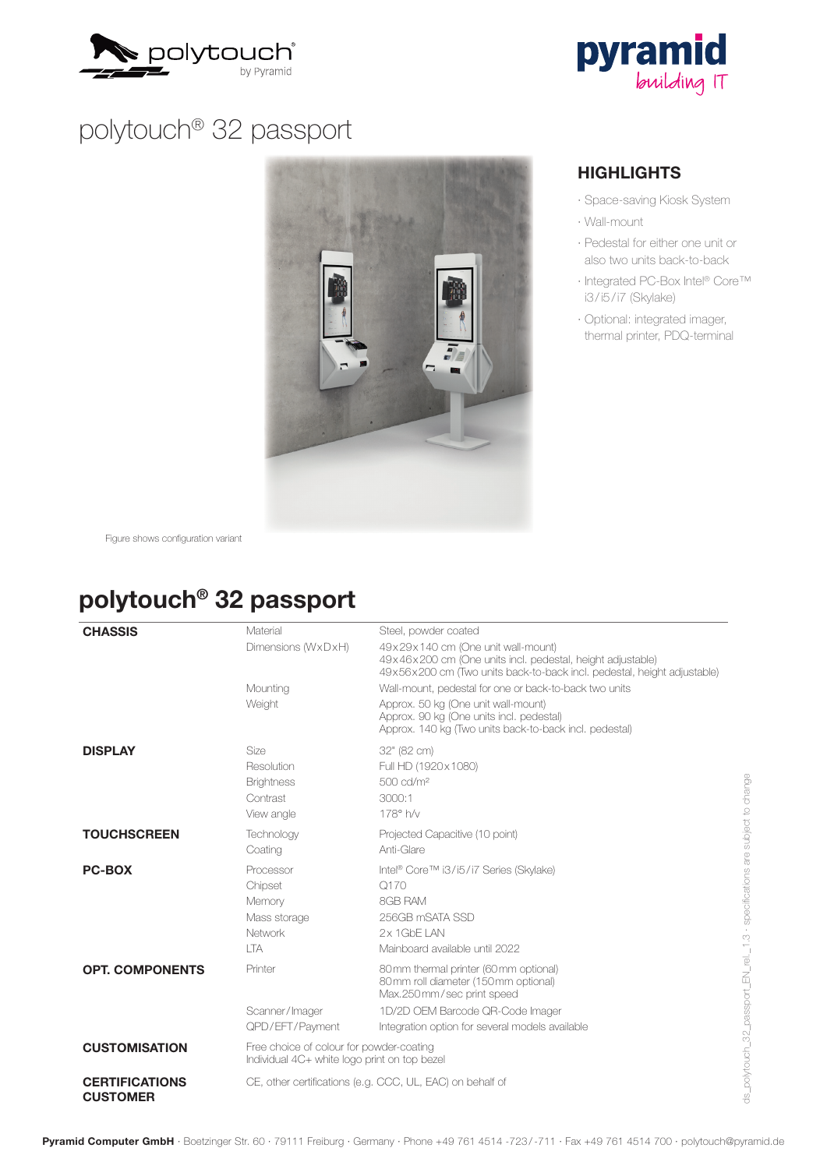



# polytouch® 32 passport



#### **HIGHLIGHTS**

- · Space-saving Kiosk System
- · Wall-mount
- · Pedestal for either one unit or also two units back-to-back
- · Integrated PC-Box Intel® Core™ i3 / i5 / i7 (Skylake)
- · Optional: integrated imager, thermal printer, PDQ-terminal

Figure shows configuration variant

### polytouch® 32 passport

| <b>CHASSIS</b>                           | Material                                                                                 | Steel, powder coated                                                                                                                                                                                |
|------------------------------------------|------------------------------------------------------------------------------------------|-----------------------------------------------------------------------------------------------------------------------------------------------------------------------------------------------------|
|                                          | Dimensions (WxDxH)                                                                       | 49x29x140 cm (One unit wall-mount)<br>49x46x200 cm (One units incl. pedestal, height adjustable)<br>49x56x200 cm (Two units back-to-back incl. pedestal, height adjustable)                         |
|                                          | Mounting<br>Weight                                                                       | Wall-mount, pedestal for one or back-to-back two units<br>Approx. 50 kg (One unit wall-mount)<br>Approx. 90 kg (One units incl. pedestal)<br>Approx. 140 kg (Two units back-to-back incl. pedestal) |
| <b>DISPLAY</b>                           | <b>Size</b><br>Resolution<br><b>Brightness</b><br>Contrast<br>View angle                 | 32" (82 cm)<br>Full HD (1920x1080)<br>500 cd/m <sup>2</sup><br>3000:1<br>178° h/y                                                                                                                   |
| <b>TOUCHSCREEN</b>                       | Technology<br>Coating                                                                    | Projected Capacitive (10 point)<br>Anti-Glare                                                                                                                                                       |
| <b>PC-BOX</b>                            | Processor<br>Chipset<br>Memory<br>Mass storage<br>Network<br><b>ITA</b>                  | Intel® Core™ i3/i5/i7 Series (Skylake)<br>Q170<br>8GB RAM<br>256GB mSATA SSD<br>$2x$ 1 GbF I AN<br>Mainboard available until 2022                                                                   |
| <b>OPT. COMPONENTS</b>                   | Printer                                                                                  | 80 mm thermal printer (60 mm optional)<br>80 mm roll diameter (150 mm optional)<br>Max.250mm/sec print speed                                                                                        |
|                                          | Scanner/Imager<br>QPD/EFT/Payment                                                        | 1D/2D OEM Barcode QR-Code Imager<br>Integration option for several models available                                                                                                                 |
| <b>CUSTOMISATION</b>                     | Free choice of colour for powder-coating<br>Individual 4C+ white logo print on top bezel |                                                                                                                                                                                                     |
| <b>CERTIFICATIONS</b><br><b>CUSTOMER</b> | CE, other certifications (e.g. CCC, UL, EAC) on behalf of                                |                                                                                                                                                                                                     |